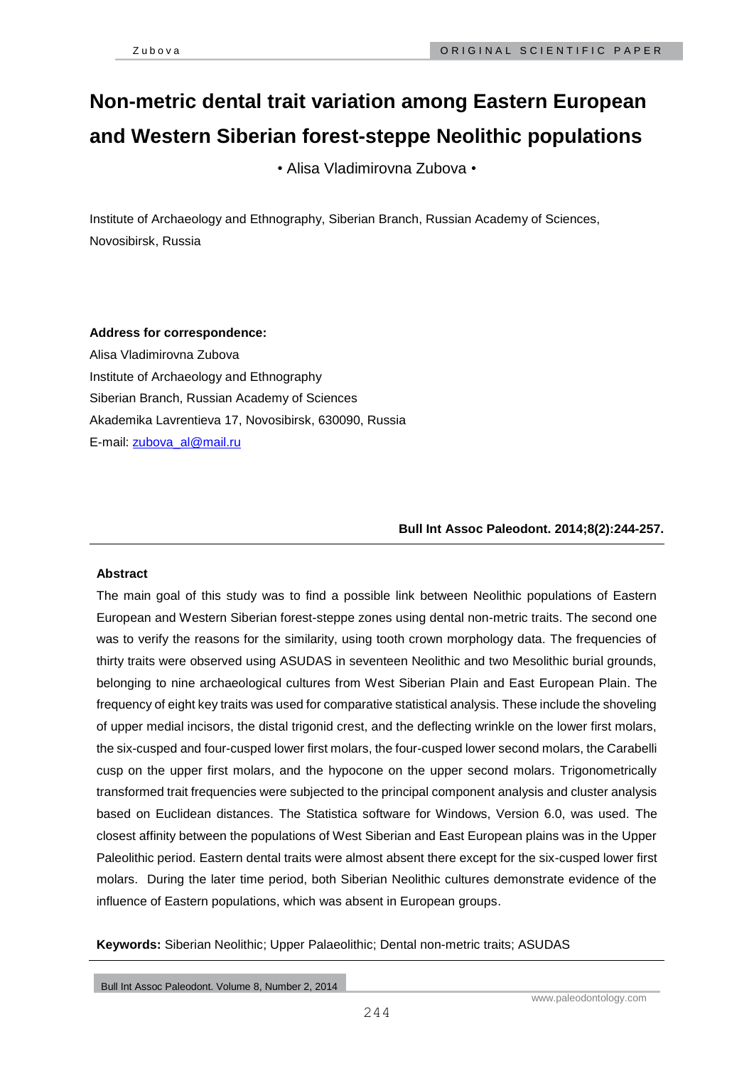# **Non-metric dental trait variation among Eastern European and Western Siberian forest-steppe Neolithic populations**

• Alisa Vladimirovna Zubova •

Institute of Archaeology and Ethnography, Siberian Branch, Russian Academy of Sciences, Novosibirsk, Russia

## **Address for correspondence:**

Alisa Vladimirovna Zubova Institute of Archaeology and Ethnography Siberian Branch, Russian Academy of Sciences Akademika Lavrentieva 17, Novosibirsk, 630090, Russia E-mail: [zubova\\_al@mail.ru](mailto:zubova_al@mail.ru) 

**Bull Int Assoc Paleodont. 2014;8(2):244-257.**

## **Abstract**

The main goal of this study was to find a possible link between Neolithic populations of Eastern European and Western Siberian forest-steppe zones using dental non-metric traits. The second one was to verify the reasons for the similarity, using tooth crown morphology data. The frequencies of thirty traits were observed using ASUDAS in seventeen Neolithic and two Mesolithic burial grounds, belonging to nine archaeological cultures from West Siberian Plain and East European Plain. The frequency of eight key traits was used for comparative statistical analysis. These include the shoveling of upper medial incisors, the distal trigonid crest, and the deflecting wrinkle on the lower first molars, the six-cusped and four-cusped lower first molars, the four-cusped lower second molars, the Carabelli cusp on the upper first molars, and the hypocone on the upper second molars. Trigonometrically transformed trait frequencies were subjected to the principal component analysis and cluster analysis based on Euclidean distances. The Statistica software for Windows, Version 6.0, was used. The closest affinity between the populations of West Siberian and East European plains was in the Upper Paleolithic period. Eastern dental traits were almost absent there except for the six-cusped lower first molars. During the later time period, both Siberian Neolithic cultures demonstrate evidence of the influence of Eastern populations, which was absent in European groups.

**Keywords:** Siberian Neolithic; Upper Palaeolithic; Dental non-metric traits; ASUDAS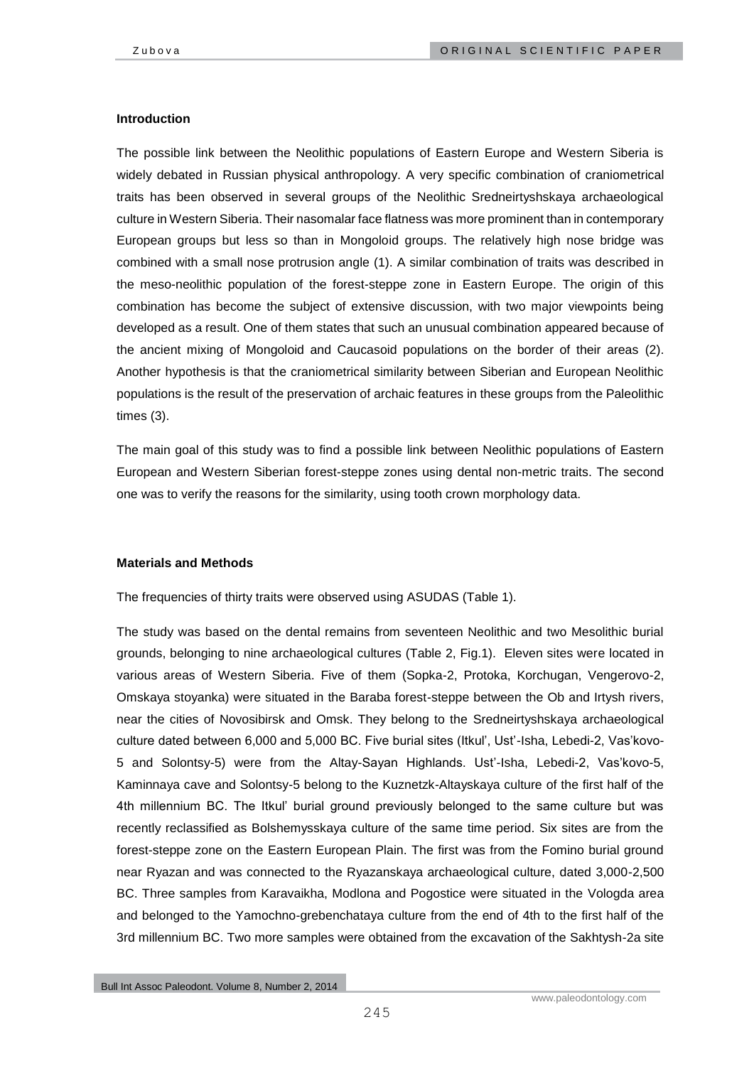#### **Introduction**

The possible link between the Neolithic populations of Eastern Europe and Western Siberia is widely debated in Russian physical anthropology. A very specific combination of craniometrical traits has been observed in several groups of the Neolithic Sredneirtyshskaya archaeological culture in Western Siberia. Their nasomalar face flatness was more prominent than in contemporary European groups but less so than in Mongoloid groups. The relatively high nose bridge was combined with a small nose protrusion angle (1). A similar combination of traits was described in the meso-neolithic population of the forest-steppe zone in Eastern Europe. The origin of this combination has become the subject of extensive discussion, with two major viewpoints being developed as a result. One of them states that such an unusual combination appeared because of the ancient mixing of Mongoloid and Caucasoid populations on the border of their areas (2). Another hypothesis is that the craniometrical similarity between Siberian and European Neolithic populations is the result of the preservation of archaic features in these groups from the Paleolithic times (3).

The main goal of this study was to find a possible link between Neolithic populations of Eastern European and Western Siberian forest-steppe zones using dental non-metric traits. The second one was to verify the reasons for the similarity, using tooth crown morphology data.

#### **Materials and Methods**

The frequencies of thirty traits were observed using ASUDAS (Table 1).

The study was based on the dental remains from seventeen Neolithic and two Mesolithic burial grounds, belonging to nine archaeological cultures (Table 2, Fig.1). Eleven sites were located in various areas of Western Siberia. Five of them (Sopka-2, Protoka, Korchugan, Vengerovo-2, Omskaya stoyanka) were situated in the Baraba forest-steppe between the Ob and Irtysh rivers, near the cities of Novosibirsk and Omsk. They belong to the Sredneirtyshskaya archaeological culture dated between 6,000 and 5,000 BC. Five burial sites (Itkul', Ust'-Isha, Lebedi-2, Vas'kovo-5 and Solontsy-5) were from the Altay-Sayan Highlands. Ust'-Isha, Lebedi-2, Vas'kovo-5, Kaminnaya cave and Solontsy-5 belong to the Kuznetzk-Altayskaya culture of the first half of the 4th millennium BC. The Itkul' burial ground previously belonged to the same culture but was recently reclassified as Bolshemysskaya culture of the same time period. Six sites are from the forest-steppe zone on the Eastern European Plain. The first was from the Fomino burial ground near Ryazan and was connected to the Ryazanskaya archaeological culture, dated 3,000-2,500 BC. Three samples from Karavaikha, Modlona and Pogostice were situated in the Vologda area and belonged to the Yamochno-grebenchataya culture from the end of 4th to the first half of the 3rd millennium BC. Two more samples were obtained from the excavation of the Sakhtysh-2a site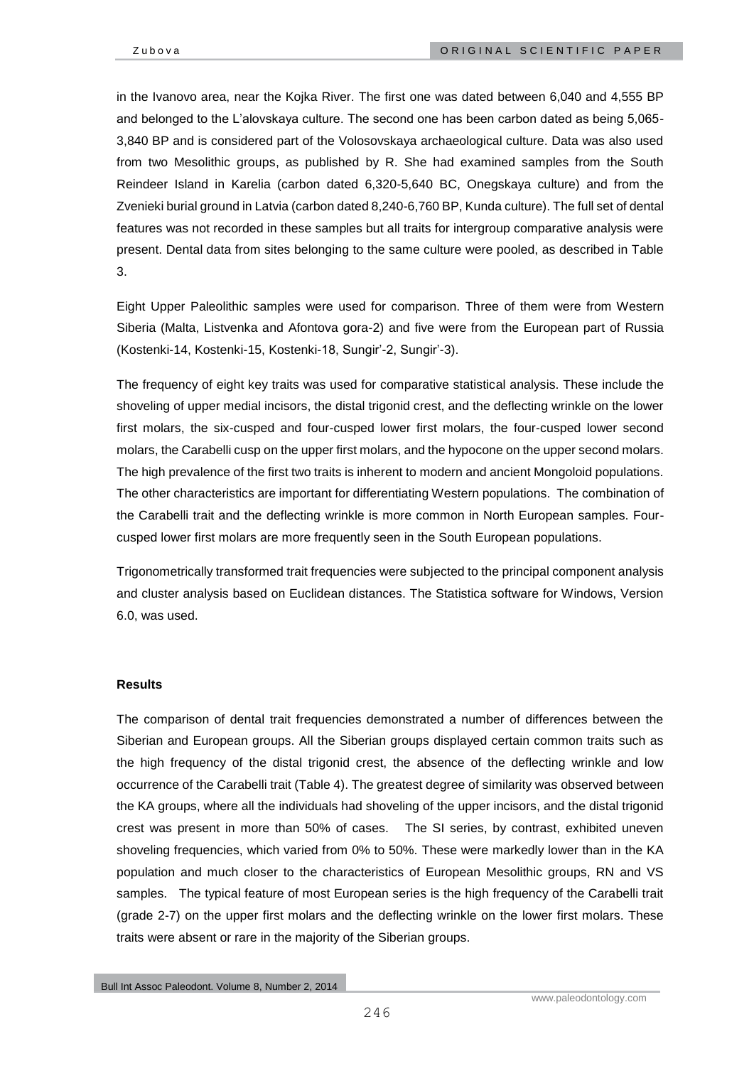in the Ivanovo area, near the Kojka River. The first one was dated between 6,040 and 4,555 BP and belonged to the L'alovskaya culture. The second one has been carbon dated as being 5,065- 3,840 BP and is considered part of the Volosovskaya archaeological culture. Data was also used from two Mesolithic groups, as published by R. She had examined samples from the South Reindeer Island in Karelia (carbon dated 6,320-5,640 BC, Onegskaya culture) and from the Zvenieki burial ground in Latvia (carbon dated 8,240-6,760 BP, Kunda culture). The full set of dental features was not recorded in these samples but all traits for intergroup comparative analysis were present. Dental data from sites belonging to the same culture were pooled, as described in Table 3.

Eight Upper Paleolithic samples were used for comparison. Three of them were from Western Siberia (Malta, Listvenka and Afontova gora-2) and five were from the European part of Russia (Kostenki-14, Kostenki-15, Kostenki-18, Sungir'-2, Sungir'-3).

The frequency of eight key traits was used for comparative statistical analysis. These include the shoveling of upper medial incisors, the distal trigonid crest, and the deflecting wrinkle on the lower first molars, the six-cusped and four-cusped lower first molars, the four-cusped lower second molars, the Carabelli cusp on the upper first molars, and the hypocone on the upper second molars. The high prevalence of the first two traits is inherent to modern and ancient Mongoloid populations. The other characteristics are important for differentiating Western populations. The combination of the Carabelli trait and the deflecting wrinkle is more common in North European samples. Fourcusped lower first molars are more frequently seen in the South European populations.

Trigonometrically transformed trait frequencies were subjected to the principal component analysis and cluster analysis based on Euclidean distances. The Statistica software for Windows, Version 6.0, was used.

## **Results**

The comparison of dental trait frequencies demonstrated a number of differences between the Siberian and European groups. All the Siberian groups displayed certain common traits such as the high frequency of the distal trigonid crest, the absence of the deflecting wrinkle and low occurrence of the Carabelli trait (Table 4). The greatest degree of similarity was observed between the KA groups, where all the individuals had shoveling of the upper incisors, and the distal trigonid crest was present in more than 50% of cases. The SI series, by contrast, exhibited uneven shoveling frequencies, which varied from 0% to 50%. These were markedly lower than in the KA population and much closer to the characteristics of European Mesolithic groups, RN and VS samples. The typical feature of most European series is the high frequency of the Carabelli trait (grade 2-7) on the upper first molars and the deflecting wrinkle on the lower first molars. These traits were absent or rare in the majority of the Siberian groups.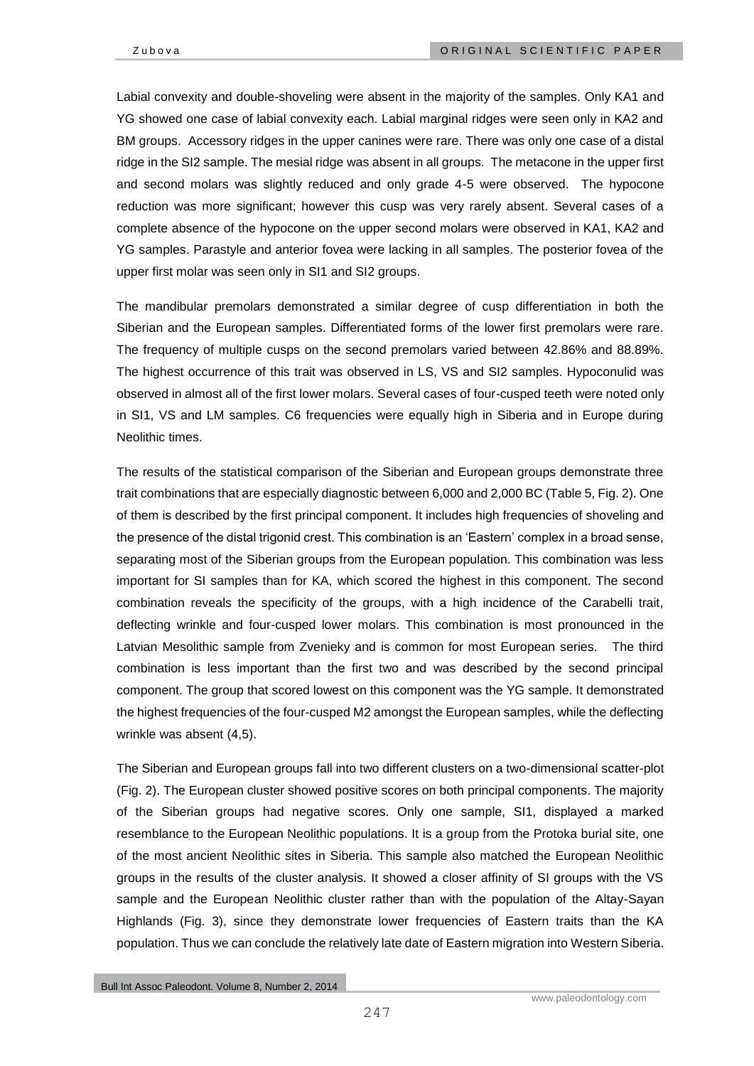Labial convexity and double-shoveling were absent in the majority of the samples. Only KA1 and YG showed one case of labial convexity each. Labial marginal ridges were seen only in KA2 and BM groups. Accessory ridges in the upper canines were rare. There was only one case of a distal ridge in the SI2 sample. The mesial ridge was absent in all groups. The metacone in the upper first and second molars was slightly reduced and only grade 4-5 were observed. The hypocone reduction was more significant; however this cusp was very rarely absent. Several cases of a complete absence of the hypocone on the upper second molars were observed in KA1, KA2 and YG samples. Parastyle and anterior fovea were lacking in all samples. The posterior fovea of the upper first molar was seen only in SI1 and SI2 groups.

The mandibular premolars demonstrated a similar degree of cusp differentiation in both the Siberian and the European samples. Differentiated forms of the lower first premolars were rare. The frequency of multiple cusps on the second premolars varied between 42.86% and 88.89%. The highest occurrence of this trait was observed in LS, VS and SI2 samples. Hypoconulid was observed in almost all of the first lower molars. Several cases of four-cusped teeth were noted only in SI1, VS and LM samples. C6 frequencies were equally high in Siberia and in Europe during Neolithic times.

The results of the statistical comparison of the Siberian and European groups demonstrate three trait combinations that are especially diagnostic between 6,000 and 2,000 BC (Table 5, Fig. 2). One of them is described by the first principal component. It includes high frequencies of shoveling and the presence of the distal trigonid crest. This combination is an 'Eastern' complex in a broad sense, separating most of the Siberian groups from the European population. This combination was less important for SI samples than for KA, which scored the highest in this component. The second combination reveals the specificity of the groups, with a high incidence of the Carabelli trait, deflecting wrinkle and four-cusped lower molars. This combination is most pronounced in the Latvian Mesolithic sample from Zvenieky and is common for most European series. The third combination is less important than the first two and was described by the second principal component. The group that scored lowest on this component was the YG sample. It demonstrated the highest frequencies of the four-cusped M2 amongst the European samples, while the deflecting wrinkle was absent (4,5).

The Siberian and European groups fall into two different clusters on a two-dimensional scatter-plot (Fig. 2). The European cluster showed positive scores on both principal components. The majority of the Siberian groups had negative scores. Only one sample, SI1, displayed a marked resemblance to the European Neolithic populations. It is a group from the Protoka burial site, one of the most ancient Neolithic sites in Siberia. This sample also matched the European Neolithic groups in the results of the cluster analysis. It showed a closer affinity of SI groups with the VS sample and the European Neolithic cluster rather than with the population of the Altay-Sayan Highlands (Fig. 3), since they demonstrate lower frequencies of Eastern traits than the KA population. Thus we can conclude the relatively late date of Eastern migration into Western Siberia.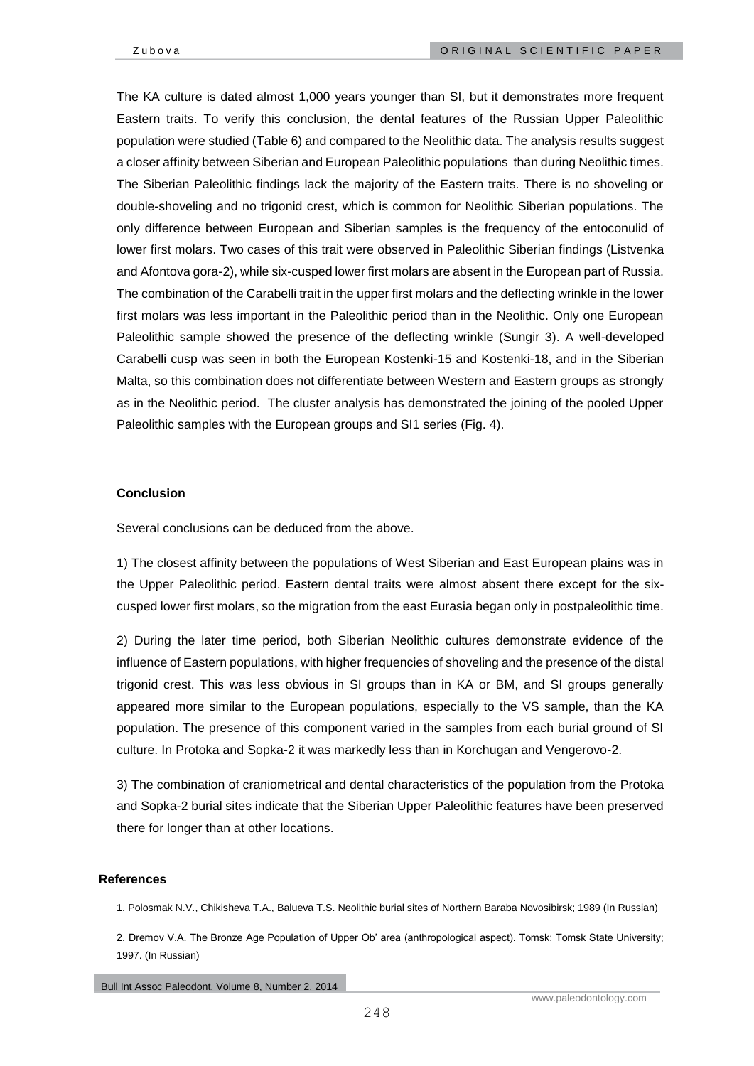The KA culture is dated almost 1,000 years younger than SI, but it demonstrates more frequent Eastern traits. To verify this conclusion, the dental features of the Russian Upper Paleolithic population were studied (Table 6) and compared to the Neolithic data. The analysis results suggest a closer affinity between Siberian and European Paleolithic populations than during Neolithic times. The Siberian Paleolithic findings lack the majority of the Eastern traits. There is no shoveling or double-shoveling and no trigonid crest, which is common for Neolithic Siberian populations. The only difference between European and Siberian samples is the frequency of the entoconulid of lower first molars. Two cases of this trait were observed in Paleolithic Siberian findings (Listvenka and Afontova gora-2), while six-cusped lower first molars are absent in the European part of Russia. The combination of the Carabelli trait in the upper first molars and the deflecting wrinkle in the lower first molars was less important in the Paleolithic period than in the Neolithic. Only one European Paleolithic sample showed the presence of the deflecting wrinkle (Sungir 3). A well-developed Carabelli cusp was seen in both the European Kostenki-15 and Kostenki-18, and in the Siberian Malta, so this combination does not differentiate between Western and Eastern groups as strongly as in the Neolithic period. The cluster analysis has demonstrated the joining of the pooled Upper Paleolithic samples with the European groups and SI1 series (Fig. 4).

## **Conclusion**

Several conclusions can be deduced from the above.

1) The closest affinity between the populations of West Siberian and East European plains was in the Upper Paleolithic period. Eastern dental traits were almost absent there except for the sixcusped lower first molars, so the migration from the east Eurasia began only in postpaleolithic time.

2) During the later time period, both Siberian Neolithic cultures demonstrate evidence of the influence of Eastern populations, with higher frequencies of shoveling and the presence of the distal trigonid crest. This was less obvious in SI groups than in KA or BM, and SI groups generally appeared more similar to the European populations, especially to the VS sample, than the KA population. The presence of this component varied in the samples from each burial ground of SI culture. In Protoka and Sopka-2 it was markedly less than in Korchugan and Vengerovo-2.

3) The combination of craniometrical and dental characteristics of the population from the Protoka and Sopka-2 burial sites indicate that the Siberian Upper Paleolithic features have been preserved there for longer than at other locations.

## **References**

- 1. Polosmak N.V., Chikisheva T.A., Balueva T.S. Neolithic burial sites of Northern Baraba Novosibirsk; 1989 (In Russian)
- 2. Dremov V.A. The Bronze Age Population of Upper Ob' area (anthropological aspect). Tomsk: Tomsk State University; 1997. (In Russian)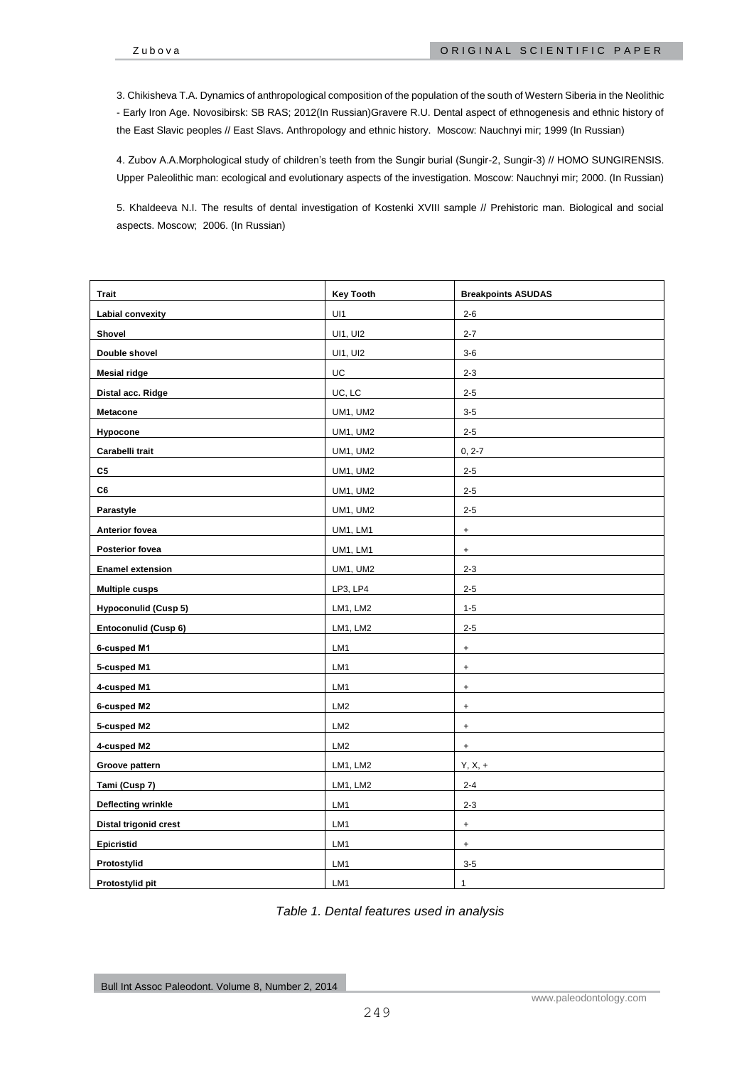3. Chikisheva T.A. Dynamics of anthropological composition of the population of the south of Western Siberia in the Neolithic - Early Iron Age. Novosibirsk: SB RAS; 2012(In Russian)Gravere R.U. Dental aspect of ethnogenesis and ethnic history of the East Slavic peoples // East Slavs. Anthropology and ethnic history. Moscow: Nauchnyi mir; 1999 (In Russian)

4. Zubov A.A.Morphological study of children's teeth from the Sungir burial (Sungir-2, Sungir-3) // HOMO SUNGIRENSIS. Upper Paleolithic man: ecological and evolutionary aspects of the investigation. Moscow: Nauchnyi mir; 2000. (In Russian)

5. Khaldeeva N.I. The results of dental investigation of Kostenki XVIII sample // Prehistoric man. Biological and social aspects. Moscow; 2006. (In Russian)

| <b>Trait</b>                | <b>Key Tooth</b> | <b>Breakpoints ASUDAS</b>        |
|-----------------------------|------------------|----------------------------------|
| Labial convexity            | UI1              | $2 - 6$                          |
| Shovel                      | UI1, UI2         | $2 - 7$                          |
| Double shovel               | UI1, UI2         | $3 - 6$                          |
| <b>Mesial ridge</b>         | UC               | $2 - 3$                          |
| Distal acc. Ridge           | UC, LC           | $2 - 5$                          |
| Metacone                    | <b>UM1, UM2</b>  | $3 - 5$                          |
| Hypocone                    | UM1, UM2         | $2 - 5$                          |
| Carabelli trait             | UM1, UM2         | $0, 2 - 7$                       |
| C5                          | UM1, UM2         | $2 - 5$                          |
| C6                          | UM1, UM2         | $2 - 5$                          |
| Parastyle                   | UM1, UM2         | $2 - 5$                          |
| Anterior fovea              | UM1, LM1         | $\ddot{}$                        |
| Posterior fovea             | UM1, LM1         | $\ddot{}$                        |
| <b>Enamel extension</b>     | <b>UM1, UM2</b>  | $2 - 3$                          |
| <b>Multiple cusps</b>       | LP3, LP4         | $2 - 5$                          |
| <b>Hypoconulid (Cusp 5)</b> | LM1, LM2         | $1 - 5$                          |
| Entoconulid (Cusp 6)        | LM1, LM2         | $2 - 5$                          |
| 6-cusped M1                 | LM1              | $\ddot{}$                        |
| 5-cusped M1                 | LM1              | $\ddot{}$                        |
| 4-cusped M1                 | LM1              | $\ddot{}$                        |
| 6-cusped M2                 | LM <sub>2</sub>  | $\ddot{}$                        |
| 5-cusped M2                 | LM <sub>2</sub>  | $\begin{array}{c} + \end{array}$ |
| 4-cusped M2                 | LM <sub>2</sub>  | $\ddot{}$                        |
| Groove pattern              | LM1, LM2         | $Y, X, +$                        |
| Tami (Cusp 7)               | LM1, LM2         | $2 - 4$                          |
| <b>Deflecting wrinkle</b>   | LM1              | $2 - 3$                          |
| Distal trigonid crest       | LM1              | $\ddot{}$                        |
| Epicristid                  | LM1              | $\begin{array}{c} + \end{array}$ |
| Protostylid                 | LM1              | $3 - 5$                          |
| Protostylid pit             | LM1              | 1                                |

*Table 1. Dental features used in analysis*

Bull Int Assoc Paleodont. Volume 8, Number 2, 2014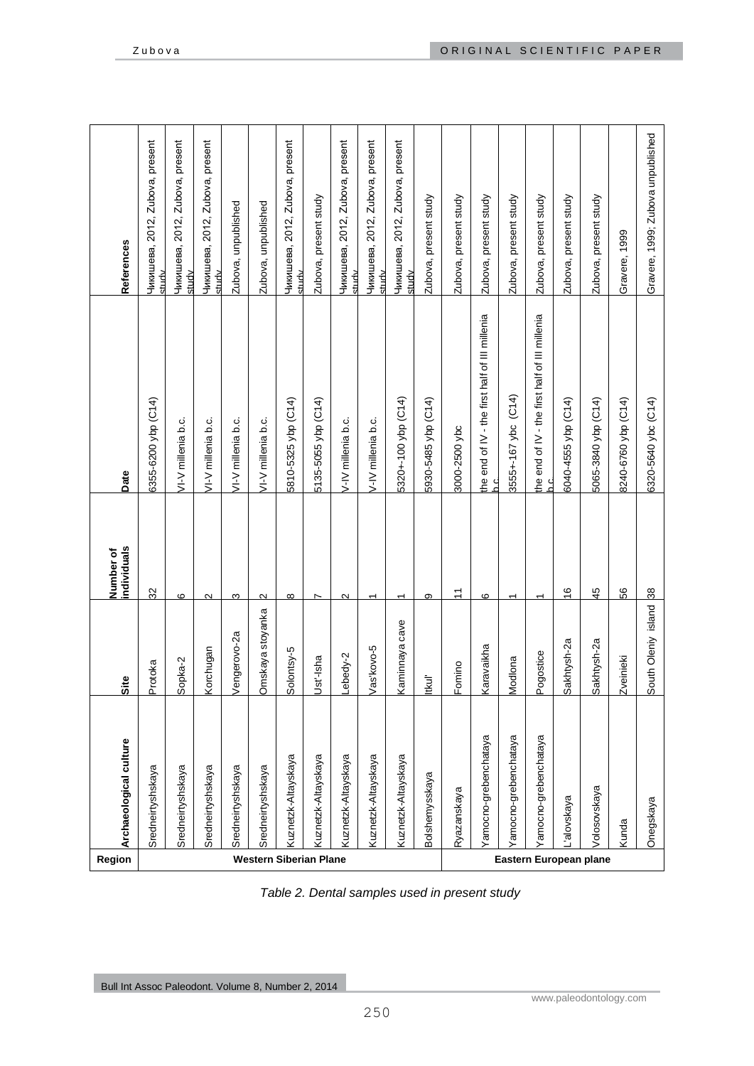| Region                        | Archaeological culture     | Site                | individuals<br>Number of | Date                                                     | References                                     |
|-------------------------------|----------------------------|---------------------|--------------------------|----------------------------------------------------------|------------------------------------------------|
|                               | Sredneirtyshskaya          | Protoka             | $\mathcal{S}$            | 6355-6200 ybp (C14)                                      | Чикишева, 2012, Zubova, present<br>study       |
|                               | Sredneirtyshskaya          | Sopka-2             | 6                        | VI-V millenia b.c.                                       | 2012, Zubova, present<br>Чикишева,<br>study    |
|                               | Sredneirtyshskaya          | Korchugan           | $\mathbf{\Omega}$        | VI-V millenia b.c.                                       | Zubova, present<br>2012,<br>Чикишева,<br>study |
|                               | Sredneirtyshskaya          | Vengerovo-2a        | 3                        | VI-V millenia b.c.                                       | Zubova, unpublished                            |
|                               | Sredneirtyshskaya          | Omskaya stoyanka    | $\mathbf{\Omega}$        | VI-V millenia b.c.                                       | Zubova, unpublished                            |
| <b>Western Siberian Plane</b> | Kuznetzk-Altayskaya        | Solontsy-5          | $\infty$                 | 5810-5325 ybp (C14)                                      | Чикишева, 2012, Zubova, present<br>xtudv       |
|                               | Kuznetzk-Altayskaya        | Ust'-Isha           |                          | 5135-5055 ybp (C14)                                      | Zubova, present study                          |
|                               | <b>Kuznetzk-Altayskaya</b> | Lebedy-2            | 2                        | V-IV millenia b.c.                                       | 2012, Zubova, present<br>Чикишева,<br>studv    |
|                               | Kuznetzk-Altayskaya        | Vas'kovo-5          | ᠇                        | V-IV millenia b.c.                                       | 2012, Zubova, present<br>Чикишева,<br>studv    |
|                               | Kuznetzk-Altayskaya        | Kaminnaya cave      | ᡪ                        | 5320+-100 ybp (C14)                                      | Чикишева, 2012, Zubova, present<br>study       |
|                               | Bolshemysskaya             | ltkul'              | ω                        | 5930-5485 ybp (C14)                                      | Zubova, present study                          |
|                               | Ryazanskaya                | Fomino              | $\overline{1}$           | 3000-2500 ybc                                            | Zubova, present study                          |
|                               | /amocno-grebenchataya      | Karavaikha          | ဖ                        | the end of IV - the first half of III millenia<br>ن<br>م | Zubova, present study                          |
|                               | amocno-grebenchataya       | Modlona             |                          | 3555+-167 ybc (C14)                                      | Zubova, present study                          |
|                               | ramocno-grebenchataya      | Pogostice           | ᡪ                        | the end of IV - the first half of III millenia           | Zubova, present study                          |
|                               | alovskaya                  | Sakhtysh-2a         | $\frac{6}{5}$            | 6040-4555 ybp (C14)                                      | Zubova, present study                          |
| Eastern European plane        | Volosovskaya               | Sakhtysh-2a         | $\frac{45}{5}$           | 5065-3840 ybp (C14)                                      | Zubova, present study                          |
|                               | Kunda                      | <b>Zveinieki</b>    | 8ă                       | 8240-6760 ybp (C14)                                      | Gravere, 1999                                  |
|                               | Onegskaya                  | South Oleniy island | $\frac{8}{3}$            | 6320-5640 ybc (C14)                                      | Gravere, 1999; Zubova unpublished              |

*Table 2. Dental samples used in present study*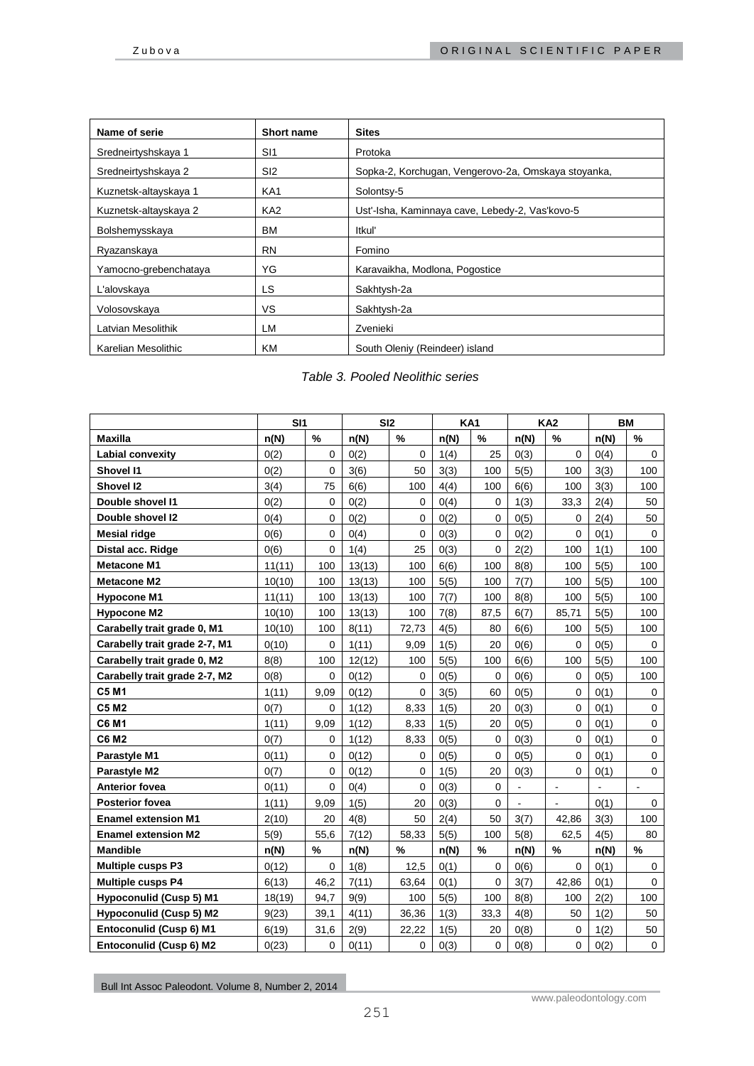| Name of serie         | <b>Short name</b> | <b>Sites</b>                                        |
|-----------------------|-------------------|-----------------------------------------------------|
| Sredneirtyshskaya 1   | S <sub>11</sub>   | Protoka                                             |
| Sredneirtyshskaya 2   | SI <sub>2</sub>   | Sopka-2, Korchugan, Vengerovo-2a, Omskaya stoyanka, |
| Kuznetsk-altayskaya 1 | KA1               | Solontsy-5                                          |
| Kuznetsk-altayskaya 2 | KA <sub>2</sub>   | Ust'-Isha, Kaminnaya cave, Lebedy-2, Vas'kovo-5     |
| Bolshemysskaya        | ВM                | ltkuľ                                               |
| Ryazanskaya           | <b>RN</b>         | Fomino                                              |
| Yamocno-grebenchataya | ΥG                | Karavaikha, Modlona, Pogostice                      |
| L'alovskaya           | LS                | Sakhtysh-2a                                         |
| Volosovskaya          | VS.               | Sakhtysh-2a                                         |
| Latvian Mesolithik    | LM                | Zvenieki                                            |
| Karelian Mesolithic   | ΚM                | South Oleniy (Reindeer) island                      |

# *Table 3. Pooled Neolithic series*

|                                | SI1    |             | SI2    |             | KA <sub>1</sub> |                |      | <b>KA2</b>     |                | <b>BM</b>      |
|--------------------------------|--------|-------------|--------|-------------|-----------------|----------------|------|----------------|----------------|----------------|
| <b>Maxilla</b>                 | n(N)   | $\%$        | n(N)   | $\%$        | n(N)            | $\%$           | n(N) | $\%$           | n(N)           | %              |
| Labial convexity               | 0(2)   | $\Omega$    | 0(2)   | $\Omega$    | 1(4)            | 25             | O(3) | $\Omega$       | 0(4)           | $\mathbf 0$    |
| <b>Shovel I1</b>               | 0(2)   | 0           | 3(6)   | 50          | 3(3)            | 100            | 5(5) | 100            | 3(3)           | 100            |
| Shovel I2                      | 3(4)   | 75          | 6(6)   | 100         | 4(4)            | 100            | 6(6) | 100            | 3(3)           | 100            |
| Double shovel I1               | 0(2)   | $\Omega$    | 0(2)   | $\mathbf 0$ | 0(4)            | 0              | 1(3) | 33,3           | 2(4)           | 50             |
| Double shovel I2               | 0(4)   | $\Omega$    | 0(2)   | $\Omega$    | 0(2)            | $\overline{0}$ | 0(5) | 0              | 2(4)           | 50             |
| <b>Mesial ridge</b>            | 0(6)   | $\mathbf 0$ | 0(4)   | $\mathbf 0$ | 0(3)            | 0              | 0(2) | $\mathbf 0$    | 0(1)           | 0              |
| Distal acc. Ridge              | 0(6)   | 0           | 1(4)   | 25          | 0(3)            | 0              | 2(2) | 100            | 1(1)           | 100            |
| <b>Metacone M1</b>             | 11(11) | 100         | 13(13) | 100         | 6(6)            | 100            | 8(8) | 100            | 5(5)           | 100            |
| <b>Metacone M2</b>             | 10(10) | 100         | 13(13) | 100         | 5(5)            | 100            | 7(7) | 100            | 5(5)           | 100            |
| <b>Hypocone M1</b>             | 11(11) | 100         | 13(13) | 100         | 7(7)            | 100            | 8(8) | 100            | 5(5)           | 100            |
| <b>Hypocone M2</b>             | 10(10) | 100         | 13(13) | 100         | 7(8)            | 87,5           | 6(7) | 85,71          | 5(5)           | 100            |
| Carabelly trait grade 0, M1    | 10(10) | 100         | 8(11)  | 72,73       | 4(5)            | 80             | 6(6) | 100            | 5(5)           | 100            |
| Carabelly trait grade 2-7, M1  | 0(10)  | 0           | 1(11)  | 9,09        | 1(5)            | 20             | 0(6) | 0              | 0(5)           | 0              |
| Carabelly trait grade 0, M2    | 8(8)   | 100         | 12(12) | 100         | 5(5)            | 100            | 6(6) | 100            | 5(5)           | 100            |
| Carabelly trait grade 2-7, M2  | O(8)   | $\mathbf 0$ | 0(12)  | $\mathbf 0$ | 0(5)            | $\mathbf 0$    | 0(6) | $\Omega$       | 0(5)           | 100            |
| <b>C5 M1</b>                   | 1(11)  | 9,09        | 0(12)  | $\Omega$    | 3(5)            | 60             | 0(5) | $\Omega$       | 0(1)           | $\mathbf 0$    |
| <b>C5 M2</b>                   | 0(7)   | $\Omega$    | 1(12)  | 8,33        | 1(5)            | 20             | 0(3) | $\mathbf 0$    | 0(1)           | $\mathbf 0$    |
| <b>C6 M1</b>                   | 1(11)  | 9,09        | 1(12)  | 8,33        | 1(5)            | 20             | 0(5) | 0              | 0(1)           | 0              |
| <b>C6 M2</b>                   | 0(7)   | $\Omega$    | 1(12)  | 8,33        | 0(5)            | 0              | O(3) | $\Omega$       | 0(1)           | $\mathbf 0$    |
| Parastyle M1                   | 0(11)  | $\mathbf 0$ | 0(12)  | $\mathbf 0$ | 0(5)            | $\mathbf 0$    | 0(5) | 0              | 0(1)           | $\mathbf 0$    |
| Parastyle M2                   | 0(7)   | $\Omega$    | 0(12)  | $\Omega$    | 1(5)            | 20             | 0(3) | $\Omega$       | 0(1)           | $\pmb{0}$      |
| <b>Anterior fovea</b>          | 0(11)  | $\Omega$    | 0(4)   | $\mathbf 0$ | 0(3)            | $\Omega$       | ÷.   | $\blacksquare$ | $\blacksquare$ | $\blacksquare$ |
| <b>Posterior fovea</b>         | 1(11)  | 9,09        | 1(5)   | 20          | 0(3)            | 0              | ä,   | ä,             | O(1)           | 0              |
| <b>Enamel extension M1</b>     | 2(10)  | 20          | 4(8)   | 50          | 2(4)            | 50             | 3(7) | 42,86          | 3(3)           | 100            |
| <b>Enamel extension M2</b>     | 5(9)   | 55,6        | 7(12)  | 58,33       | 5(5)            | 100            | 5(8) | 62,5           | 4(5)           | 80             |
| <b>Mandible</b>                | n(N)   | $\%$        | n(N)   | %           | n(N)            | $\%$           | n(N) | $\%$           | n(N)           | $\%$           |
| <b>Multiple cusps P3</b>       | 0(12)  | $\Omega$    | 1(8)   | 12,5        | 0(1)            | $\Omega$       | 0(6) | $\Omega$       | 0(1)           | 0              |
| <b>Multiple cusps P4</b>       | 6(13)  | 46,2        | 7(11)  | 63,64       | 0(1)            | 0              | 3(7) | 42,86          | 0(1)           | $\mathbf 0$    |
| <b>Hypoconulid (Cusp 5) M1</b> | 18(19) | 94,7        | 9(9)   | 100         | 5(5)            | 100            | 8(8) | 100            | 2(2)           | 100            |
| <b>Hypoconulid (Cusp 5) M2</b> | 9(23)  | 39,1        | 4(11)  | 36,36       | 1(3)            | 33,3           | 4(8) | 50             | 1(2)           | 50             |
| Entoconulid (Cusp 6) M1        | 6(19)  | 31,6        | 2(9)   | 22,22       | 1(5)            | 20             | 0(8) | 0              | 1(2)           | 50             |
| Entoconulid (Cusp 6) M2        | 0(23)  | $\mathbf 0$ | 0(11)  | $\mathbf 0$ | 0(3)            | 0              | 0(8) | $\pmb{0}$      | 0(2)           | $\mathbf 0$    |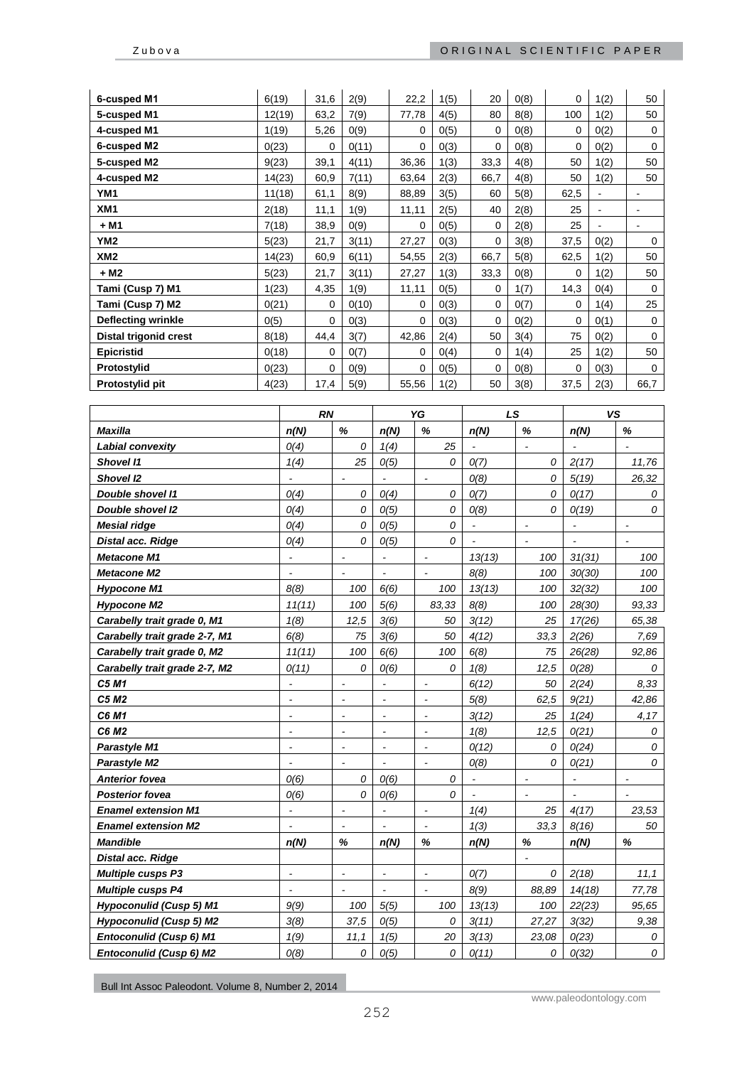| 6-cusped M1                  | 6(19)  | 31,6     | 2(9)  | 22,2     | 1(5) | 20   | 0(8) | 0    | 1(2)           | 50          |
|------------------------------|--------|----------|-------|----------|------|------|------|------|----------------|-------------|
| 5-cusped M1                  | 12(19) | 63,2     | 7(9)  | 77,78    | 4(5) | 80   | 8(8) | 100  | 1(2)           | 50          |
| 4-cusped M1                  | 1(19)  | 5,26     | 0(9)  | $\Omega$ | 0(5) | 0    | 0(8) | 0    | O(2)           | 0           |
| 6-cusped M2                  | 0(23)  | $\Omega$ | 0(11) | 0        | 0(3) | 0    | 0(8) | 0    | 0(2)           | $\mathbf 0$ |
| 5-cusped M2                  | 9(23)  | 39,1     | 4(11) | 36,36    | 1(3) | 33,3 | 4(8) | 50   | 1(2)           | 50          |
| 4-cusped M2                  | 14(23) | 60,9     | 7(11) | 63,64    | 2(3) | 66,7 | 4(8) | 50   | 1(2)           | 50          |
| YM1                          | 11(18) | 61,1     | 8(9)  | 88,89    | 3(5) | 60   | 5(8) | 62,5 | $\blacksquare$ |             |
| XM1                          | 2(18)  | 11,1     | 1(9)  | 11,11    | 2(5) | 40   | 2(8) | 25   | $\blacksquare$ |             |
| + M1                         | 7(18)  | 38,9     | 0(9)  | $\Omega$ | 0(5) | 0    | 2(8) | 25   | $\blacksquare$ | ۰           |
| YM <sub>2</sub>              | 5(23)  | 21,7     | 3(11) | 27,27    | 0(3) | 0    | 3(8) | 37,5 | 0(2)           | 0           |
| XM <sub>2</sub>              | 14(23) | 60,9     | 6(11) | 54,55    | 2(3) | 66,7 | 5(8) | 62,5 | 1(2)           | 50          |
| + M2                         | 5(23)  | 21,7     | 3(11) | 27,27    | 1(3) | 33,3 | 0(8) | 0    | 1(2)           | 50          |
| Tami (Cusp 7) M1             | 1(23)  | 4,35     | 1(9)  | 11,11    | 0(5) | 0    | 1(7) | 14,3 | 0(4)           | $\mathbf 0$ |
| Tami (Cusp 7) M2             | 0(21)  | 0        | 0(10) | 0        | 0(3) | 0    | 0(7) | 0    | 1(4)           | 25          |
| Deflecting wrinkle           | 0(5)   | $\Omega$ | 0(3)  | $\Omega$ | 0(3) | 0    | 0(2) | 0    | 0(1)           | $\mathbf 0$ |
| <b>Distal trigonid crest</b> | 8(18)  | 44,4     | 3(7)  | 42,86    | 2(4) | 50   | 3(4) | 75   | 0(2)           | $\mathbf 0$ |
| <b>Epicristid</b>            | 0(18)  | 0        | 0(7)  | $\Omega$ | O(4) | 0    | 1(4) | 25   | 1(2)           | 50          |
| Protostylid                  | 0(23)  | $\Omega$ | 0(9)  | $\Omega$ | 0(5) | 0    | 0(8) | 0    | 0(3)           | $\Omega$    |
| Protostylid pit              | 4(23)  | 17,4     | 5(9)  | 55,56    | 1(2) | 50   | 3(8) | 37,5 | 2(3)           | 66,7        |

|                                | <b>RN</b>                |                          |                          | YG             | LS             |                | <b>VS</b>                |                |
|--------------------------------|--------------------------|--------------------------|--------------------------|----------------|----------------|----------------|--------------------------|----------------|
| <b>Maxilla</b>                 | n(N)                     | $\%$                     | n(N)                     | %              | n(N)           | $\%$           | n(N)                     | $\%$           |
| <b>Labial convexity</b>        | O(4)                     | 0                        | 1(4)                     | 25             |                | $\overline{a}$ |                          |                |
| <b>Shovel I1</b>               | 1(4)                     | 25                       | O(5)                     | 0              | O(7)           | 0              | 2(17)                    | 11,76          |
| Shovel I2                      | $\sim$                   | $\overline{a}$           | $\blacksquare$           | $\blacksquare$ | O(8)           | 0              | 5(19)                    | 26,32          |
| Double shovel I1               | O(4)                     | 0                        | O(4)                     | 0              | O(7)           | 0              | O(17)                    | 0              |
| <b>Double shovel I2</b>        | O(4)                     | 0                        | O(5)                     | 0              | O(8)           | 0              | O(19)                    | $\overline{O}$ |
| <b>Mesial ridge</b>            | O(4)                     | 0                        | O(5)                     | 0              | $\blacksquare$ |                | $\overline{a}$           |                |
| Distal acc. Ridge              | O(4)                     | 0                        | O(5)                     | 0              | $\overline{a}$ | $\blacksquare$ | $\overline{\phantom{a}}$ |                |
| <b>Metacone M1</b>             | $\blacksquare$           | $\blacksquare$           | $\blacksquare$           | $\blacksquare$ | 13(13)         | 100            | 31(31)                   | 100            |
| <b>Metacone M2</b>             | $\overline{\phantom{a}}$ | $\overline{a}$           | $\overline{a}$           | $\overline{a}$ | 8(8)           | 100            | 30(30)                   | 100            |
| <b>Hypocone M1</b>             | 8(8)                     | 100                      | 6(6)                     | 100            | 13(13)         | 100            | 32(32)                   | 100            |
| <b>Hypocone M2</b>             | 11(11)                   | 100                      | 5(6)                     | 83,33          | 8(8)           | 100            | 28(30)                   | 93,33          |
| Carabelly trait grade 0, M1    | 1(8)                     | 12,5                     | 3(6)                     | 50             | 3(12)          | 25             | 17(26)                   | 65,38          |
| Carabelly trait grade 2-7, M1  | 6(8)                     | 75                       | 3(6)                     | 50             | 4(12)          | 33,3           | 2(26)                    | 7,69           |
| Carabelly trait grade 0, M2    | 11(11)                   | 100                      | 6(6)                     | 100            | 6(8)           | 75             | 26(28)                   | 92,86          |
| Carabelly trait grade 2-7, M2  | O(11)                    | 0                        | O(6)                     | 0              | 1(8)           | 12,5           | O(28)                    | 0              |
| C5 M1                          | $\blacksquare$           | $\blacksquare$           | $\blacksquare$           | $\blacksquare$ | 6(12)          | 50             | 2(24)                    | 8.33           |
| C5 M2                          | $\overline{\phantom{a}}$ | $\overline{\phantom{a}}$ | $\overline{\phantom{a}}$ | $\sim$         | 5(8)           | 62,5           | 9(21)                    | 42,86          |
| C6 M1                          | $\blacksquare$           | $\overline{a}$           | $\overline{a}$           | $\blacksquare$ | 3(12)          | 25             | 1(24)                    | 4,17           |
| C6 M2                          | $\overline{\phantom{a}}$ | $\overline{a}$           | $\overline{a}$           |                | 1(8)           | 12,5           | O(21)                    | 0              |
| <b>Parastyle M1</b>            | $\overline{\phantom{a}}$ | $\overline{a}$           | $\overline{\phantom{a}}$ |                | O(12)          | 0              | O(24)                    | 0              |
| Parastyle M2                   | $\overline{\phantom{a}}$ | $\overline{\phantom{a}}$ | $\overline{\phantom{a}}$ | $\sim$         | O(8)           | 0              | O(21)                    | $\theta$       |
| <b>Anterior fovea</b>          | O(6)                     | 0                        | O(6)                     | 0              | $\overline{a}$ | $\overline{a}$ | ÷,                       |                |
| <b>Posterior fovea</b>         | O(6)                     | 0                        | O(6)                     | 0              | $\overline{a}$ | $\overline{a}$ | ÷,                       |                |
| <b>Enamel extension M1</b>     |                          | $\overline{a}$           | $\overline{\phantom{a}}$ |                | 1(4)           | 25             | 4(17)                    | 23,53          |
| <b>Enamel extension M2</b>     | $\blacksquare$           | $\blacksquare$           | $\overline{\phantom{a}}$ | $\blacksquare$ | 1(3)           | 33.3           | 8(16)                    | 50             |
| <b>Mandible</b>                | n(N)                     | %                        | n(N)                     | %              | n(N)           | $\%$           | n(N)                     | $\%$           |
| <b>Distal acc. Ridge</b>       |                          |                          |                          |                |                |                |                          |                |
| <b>Multiple cusps P3</b>       | $\blacksquare$           | $\overline{a}$           | $\overline{\phantom{a}}$ |                | O(7)           | 0              | 2(18)                    | 11,1           |
| <b>Multiple cusps P4</b>       |                          | $\overline{a}$           |                          |                | 8(9)           | 88,89          | 14(18)                   | 77,78          |
| <b>Hypoconulid (Cusp 5) M1</b> | 9(9)                     | 100                      | 5(5)                     | 100            | 13(13)         | 100            | 22(23)                   | 95,65          |
| <b>Hypoconulid (Cusp 5) M2</b> | 3(8)                     | 37,5                     | O(5)                     | 0              | 3(11)          | 27,27          | 3(32)                    | 9,38           |
| Entoconulid (Cusp 6) M1        | 1(9)                     | 11,1                     | 1(5)                     | 20             | 3(13)          | 23,08          | O(23)                    | 0              |
| Entoconulid (Cusp 6) M2        | O(8)                     | 0                        | O(5)                     | 0              | O(11)          | 0              | O(32)                    | 0              |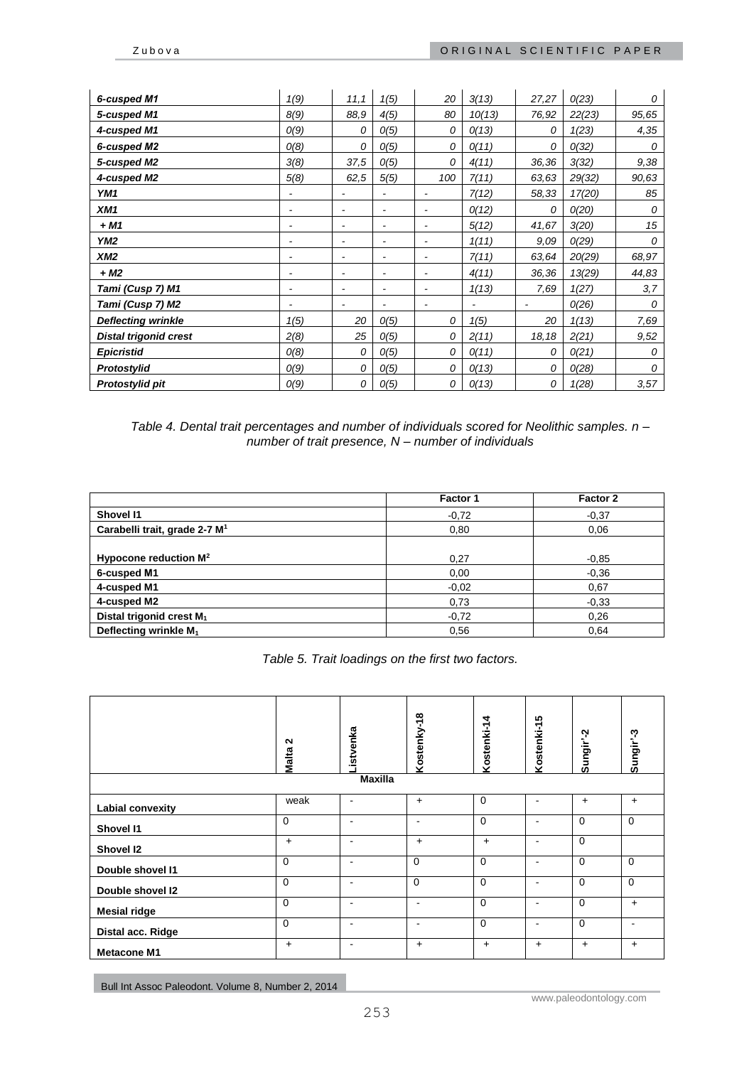| 6-cusped M1                  | 1(9)                     | 11,1                     | 1(5) | 20                       | 3(13)  | 27,27                    | O(23)  | 0     |
|------------------------------|--------------------------|--------------------------|------|--------------------------|--------|--------------------------|--------|-------|
| 5-cusped M1                  | 8(9)                     | 88,9                     | 4(5) | 80                       | 10(13) | 76,92                    | 22(23) | 95,65 |
| 4-cusped M1                  | O(9)                     | 0                        | O(5) | 0                        | O(13)  | 0                        | 1(23)  | 4,35  |
| 6-cusped M2                  | O(8)                     | 0                        | O(5) | 0                        | O(11)  | 0                        | O(32)  | 0     |
| 5-cusped M2                  | 3(8)                     | 37,5                     | O(5) | 0                        | 4(11)  | 36,36                    | 3(32)  | 9,38  |
| 4-cusped M2                  | 5(8)                     | 62,5                     | 5(5) | 100                      | 7(11)  | 63,63                    | 29(32) | 90,63 |
| YM1                          |                          |                          |      |                          | 7(12)  | 58,33                    | 17(20) | 85    |
| XM1                          | $\overline{\phantom{a}}$ | $\overline{\phantom{a}}$ | ٠    | $\overline{\phantom{a}}$ | O(12)  | 0                        | O(20)  | 0     |
| + M1                         |                          | ٠                        | ٠    |                          | 5(12)  | 41,67                    | 3(20)  | 15    |
| YM2                          |                          | ٠                        | ٠    | $\overline{a}$           | 1(11)  | 9,09                     | O(29)  | 0     |
| XM2                          | $\overline{\phantom{a}}$ | $\overline{\phantom{a}}$ | ٠    | $\overline{\phantom{a}}$ | 7(11)  | 63,64                    | 20(29) | 68,97 |
| + M2                         | $\overline{\phantom{a}}$ | $\overline{\phantom{a}}$ | ٠    | $\overline{a}$           | 4(11)  | 36,36                    | 13(29) | 44,83 |
| Tami (Cusp 7) M1             | -                        | ٠                        |      |                          | 1(13)  | 7,69                     | 1(27)  | 3,7   |
| Tami (Cusp 7) M2             |                          | $\overline{\phantom{a}}$ |      |                          |        | $\overline{\phantom{a}}$ | O(26)  | 0     |
| <b>Deflecting wrinkle</b>    | 1(5)                     | 20                       | O(5) | 0                        | 1(5)   | 20                       | 1(13)  | 7,69  |
| <b>Distal trigonid crest</b> | 2(8)                     | 25                       | O(5) | 0                        | 2(11)  | 18,18                    | 2(21)  | 9,52  |
| <b>Epicristid</b>            | O(8)                     | 0                        | O(5) | 0                        | O(11)  | 0                        | O(21)  | 0     |
| Protostylid                  | O(9)                     | 0                        | O(5) | 0                        | O(13)  | 0                        | O(28)  | 0     |
| Protostylid pit              | O(9)                     | 0                        | O(5) | 0                        | O(13)  | 0                        | 1(28)  | 3,57  |

*Table 4. Dental trait percentages and number of individuals scored for Neolithic samples. n – number of trait presence, N – number of individuals*

|                                           | <b>Factor 1</b> | Factor 2 |
|-------------------------------------------|-----------------|----------|
| Shovel I1                                 | $-0,72$         | $-0,37$  |
| Carabelli trait, grade 2-7 M <sup>1</sup> | 0,80            | 0,06     |
|                                           |                 |          |
| Hypocone reduction $M^2$                  | 0,27            | $-0.85$  |
| 6-cusped M1                               | 0,00            | $-0,36$  |
| 4-cusped M1                               | $-0,02$         | 0,67     |
| 4-cusped M2                               | 0,73            | $-0.33$  |
| Distal trigonid crest M <sub>1</sub>      | $-0,72$         | 0,26     |
| Deflecting wrinkle M <sub>1</sub>         | 0,56            | 0,64     |

*Table 5. Trait loadings on the first two factors.*

|                         | N<br>Malta  | <b>istvenka</b><br><b>Maxilla</b> | $\infty$<br>Kostenky-1 | Kostenki-14 | Kostenki-15              | Sungir'-2   | Sungir'-3                |
|-------------------------|-------------|-----------------------------------|------------------------|-------------|--------------------------|-------------|--------------------------|
| <b>Labial convexity</b> | weak        | ٠                                 | $+$                    | $\mathbf 0$ | -                        | $\ddot{}$   | $+$                      |
| Shovel I1               | $\mathbf 0$ | $\blacksquare$                    | $\blacksquare$         | $\mathbf 0$ | ۰                        | $\mathbf 0$ | $\mathbf 0$              |
| Shovel 12               | $+$         | $\blacksquare$                    | $\ddot{}$              | $+$         | $\overline{\phantom{a}}$ | $\mathbf 0$ |                          |
| Double shovel I1        | $\mathbf 0$ | $\overline{\phantom{0}}$          | $\mathbf 0$            | $\mathbf 0$ | $\overline{\phantom{a}}$ | $\mathbf 0$ | $\mathbf 0$              |
| Double shovel I2        | $\Omega$    | $\overline{\phantom{0}}$          | $\Omega$               | $\Omega$    | ٠                        | $\Omega$    | $\Omega$                 |
| <b>Mesial ridge</b>     | $\Omega$    | $\blacksquare$                    | $\blacksquare$         | $\Omega$    | $\overline{\phantom{a}}$ | $\mathbf 0$ | $+$                      |
| Distal acc. Ridge       | $\Omega$    | $\blacksquare$                    | $\blacksquare$         | $\Omega$    | $\blacksquare$           | $\mathbf 0$ | $\overline{\phantom{a}}$ |
| <b>Metacone M1</b>      | $+$         | $\blacksquare$                    | $+$                    | $+$         | $+$                      | $\ddot{}$   | $+$                      |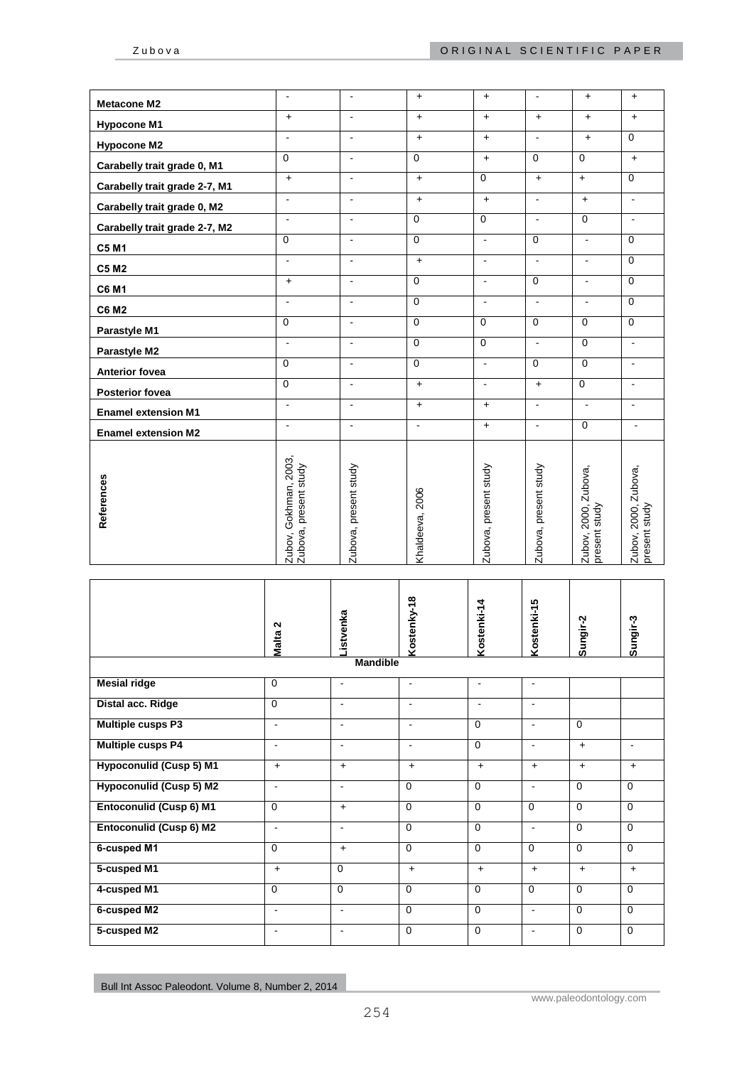| <b>Metacone M2</b>            | $\blacksquare$                                 | $\blacksquare$        | $\ddot{}$       | $+$                   | $\blacksquare$           | $+$                                   | $+$                                         |
|-------------------------------|------------------------------------------------|-----------------------|-----------------|-----------------------|--------------------------|---------------------------------------|---------------------------------------------|
| <b>Hypocone M1</b>            | $+$                                            | $\bar{\phantom{a}}$   | $+$             | $+$                   | $+$                      | $+$                                   | $+$                                         |
| <b>Hypocone M2</b>            | $\sim$                                         | $\blacksquare$        | $\ddot{}$       | $\ddot{}$             | $\blacksquare$           | $+$                                   | $\Omega$                                    |
| Carabelly trait grade 0, M1   | $\Omega$                                       | $\blacksquare$        | $\mathbf 0$     | $+$                   | $\overline{0}$           | $\mathbf 0$                           | $+$                                         |
| Carabelly trait grade 2-7, M1 | $\ddag$                                        | $\blacksquare$        | $\ddot{}$       | $\mathbf 0$           | $\ddot{}$                | $+$                                   | $\overline{0}$                              |
| Carabelly trait grade 0, M2   | $\sim$                                         | $\blacksquare$        | $\ddot{}$       | $\ddag$               | $\blacksquare$           | $+$                                   | $\blacksquare$                              |
| Carabelly trait grade 2-7, M2 | $\blacksquare$                                 | $\blacksquare$        | $\mathbf 0$     | $\mathbf 0$           | $\sim$                   | $\mathbf 0$                           | $\blacksquare$                              |
| <b>C5 M1</b>                  | $\Omega$                                       | $\blacksquare$        | $\mathbf 0$     | $\sim$                | $\Omega$                 | $\blacksquare$                        | $\Omega$                                    |
| <b>C5 M2</b>                  | $\blacksquare$                                 | $\blacksquare$        | $+$             | $\blacksquare$        | $\blacksquare$           | $\blacksquare$                        | $\Omega$                                    |
| <b>C6 M1</b>                  | $\ddot{}$                                      | $\blacksquare$        | $\mathbf 0$     | $\blacksquare$        | $\mathbf 0$              | $\blacksquare$                        | $\Omega$                                    |
| <b>C6 M2</b>                  | $\sim$                                         | $\blacksquare$        | $\mathbf 0$     | $\blacksquare$        | $\blacksquare$           | $\blacksquare$                        | $\mathbf 0$                                 |
| Parastyle M1                  | $\mathbf 0$                                    | $\bar{\phantom{a}}$   | $\overline{0}$  | $\mathbf 0$           | $\overline{0}$           | $\mathbf 0$                           | $\overline{0}$                              |
| Parastyle M2                  | $\sim$                                         | $\mathbf{r}$          | $\overline{0}$  | $\mathbf 0$           | $\overline{\phantom{a}}$ | $\overline{0}$                        | $\mathbf{r}$                                |
| <b>Anterior fovea</b>         | $\mathbf 0$                                    | $\blacksquare$        | $\mathbf 0$     | $\blacksquare$        | $\mathbf 0$              | $\mathbf 0$                           | $\blacksquare$                              |
| <b>Posterior fovea</b>        | $\Omega$                                       | $\blacksquare$        | $+$             | $\blacksquare$        | $+$                      | $\mathbf 0$                           | $\blacksquare$                              |
| <b>Enamel extension M1</b>    | $\blacksquare$                                 | $\blacksquare$        | $+$             | $+$                   | $\blacksquare$           | $\blacksquare$                        | $\blacksquare$                              |
| <b>Enamel extension M2</b>    | $\blacksquare$                                 | $\blacksquare$        | $\blacksquare$  | $+$                   | $\blacksquare$           | $\mathbf 0$                           | $\blacksquare$                              |
| References                    | Zubov, Gokhman, 2003,<br>Zubova, present study | Zubova, present study | Khaldeeva, 2006 | Zubova, present study | Zubova, present study    | Zubov, 2000, Zubova,<br>present study | Zubova,<br>present study<br>2000,<br>Zubov, |

|                                | Malta <sub>2</sub>       | istvenka        | Kostenky-18    | Kostenki-14    | Kostenki-15    | Sungir-2     | Sungir-3       |
|--------------------------------|--------------------------|-----------------|----------------|----------------|----------------|--------------|----------------|
|                                |                          | <b>Mandible</b> |                |                |                |              |                |
| <b>Mesial ridge</b>            | $\mathbf 0$              | $\blacksquare$  | $\blacksquare$ | $\blacksquare$ | $\blacksquare$ |              |                |
| Distal acc. Ridge              | $\Omega$                 | $\blacksquare$  | $\mathbf{r}$   | $\mathbf{r}$   | $\blacksquare$ |              |                |
| <b>Multiple cusps P3</b>       | $\blacksquare$           | $\blacksquare$  | $\blacksquare$ | $\mathbf 0$    | $\blacksquare$ | $\mathbf 0$  |                |
| <b>Multiple cusps P4</b>       | $\blacksquare$           | $\blacksquare$  | $\blacksquare$ | $\mathbf 0$    | $\sim$         | $+$          | $\overline{a}$ |
| <b>Hypoconulid (Cusp 5) M1</b> | $+$                      | $+$             | $+$            | $\ddot{}$      | $+$            | $+$          | $\ddot{}$      |
| <b>Hypoconulid (Cusp 5) M2</b> | $\overline{\phantom{a}}$ | $\blacksquare$  | $\Omega$       | $\Omega$       | $\blacksquare$ | $\mathbf{0}$ | $\Omega$       |
| <b>Entoconulid (Cusp 6) M1</b> | $\mathbf 0$              | $+$             | $\Omega$       | $\Omega$       | $\Omega$       | $\Omega$     | $\Omega$       |
| <b>Entoconulid (Cusp 6) M2</b> | $\blacksquare$           | $\blacksquare$  | $\Omega$       | $\Omega$       | $\blacksquare$ | $\mathbf{0}$ | $\Omega$       |
| 6-cusped M1                    | $\mathbf 0$              | $+$             | $\Omega$       | $\Omega$       | $\Omega$       | $\mathbf{0}$ | $\mathbf 0$    |
| 5-cusped M1                    | $+$                      | $\Omega$        | $+$            | $\ddot{}$      | $+$            | $+$          | $+$            |
| 4-cusped M1                    | $\mathbf 0$              | $\Omega$        | $\Omega$       | $\Omega$       | $\Omega$       | $\mathbf{0}$ | $\Omega$       |
| 6-cusped M2                    | $\blacksquare$           | $\blacksquare$  | $\Omega$       | $\Omega$       | $\blacksquare$ | $\Omega$     | $\Omega$       |
| 5-cusped M2                    | $\overline{\phantom{a}}$ | $\blacksquare$  | $\mathbf 0$    | $\Omega$       | $\blacksquare$ | $\mathbf 0$  | $\mathbf 0$    |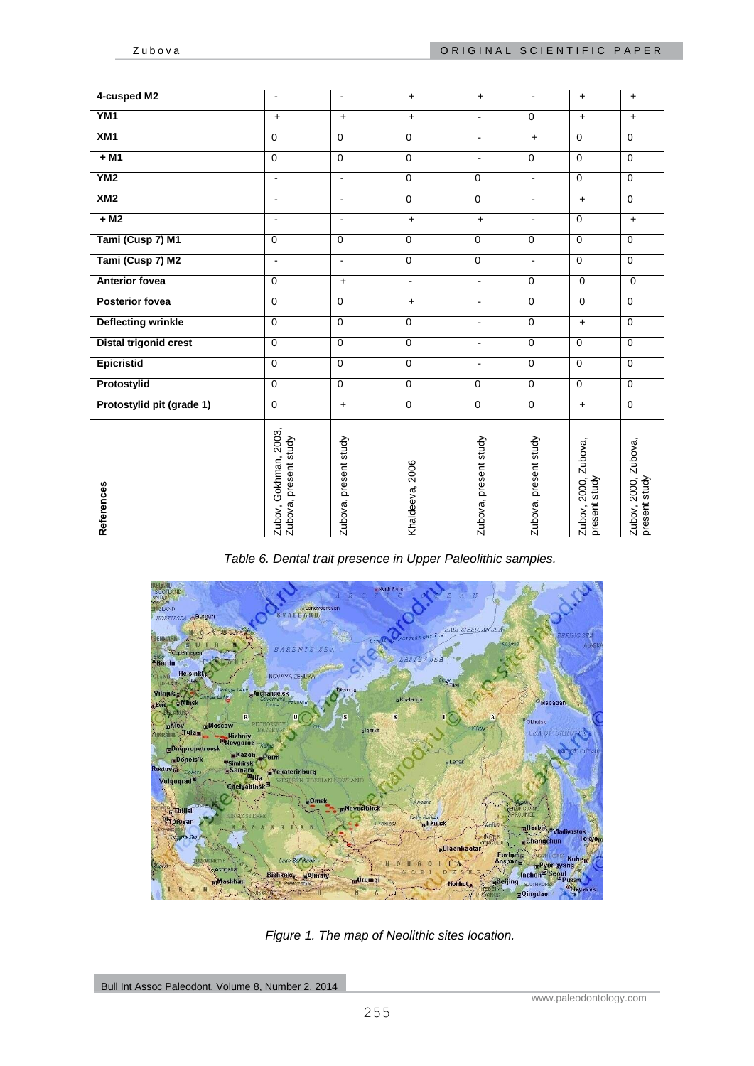| 4-cusped M2                  | $\overline{\phantom{a}}$                       | $\blacksquare$        | $+$             | $+$                      | $\blacksquare$        | $+$                                      | $+$                                   |
|------------------------------|------------------------------------------------|-----------------------|-----------------|--------------------------|-----------------------|------------------------------------------|---------------------------------------|
| YM <sub>1</sub>              | $\ddot{}$                                      | $\ddot{+}$            | $+$             | $\blacksquare$           | $\Omega$              | $+$                                      | $+$                                   |
| XM <sub>1</sub>              | $\Omega$                                       | $\mathbf 0$           | $\mathbf 0$     | $\overline{\phantom{a}}$ | $+$                   | $\Omega$                                 | $\mathbf 0$                           |
| $+ M1$                       | $\overline{0}$                                 | $\overline{0}$        | $\Omega$        | $\blacksquare$           | $\Omega$              | $\overline{0}$                           | $\Omega$                              |
| YN2                          | $\blacksquare$                                 | $\sim$                | $\mathbf 0$     | $\mathbf 0$              | $\blacksquare$        | $\mathbf 0$                              | $\mathbf 0$                           |
| XM2                          | $\blacksquare$                                 | $\blacksquare$        | $\mathbf 0$     | $\mathbf 0$              | $\blacksquare$        | $+$                                      | $\mathbf 0$                           |
| $+ M2$                       | $\blacksquare$                                 | $\sim$                | $+$             | $+$                      | ÷                     | $\overline{0}$                           | $+$                                   |
| Tami (Cusp 7) M1             | $\mathbf 0$                                    | $\mathbf 0$           | $\mathbf 0$     | $\mathbf 0$              | $\mathbf 0$           | $\mathbf 0$                              | $\mathbf 0$                           |
| Tami (Cusp 7) M2             | $\blacksquare$                                 | $\sim$                | $\mathbf 0$     | $\mathbf 0$              | $\blacksquare$        | $\mathbf 0$                              | $\mathbf 0$                           |
| <b>Anterior fovea</b>        | $\Omega$                                       | $\ddot{}$             | $\blacksquare$  | $\blacksquare$           | $\mathbf 0$           | $\mathbf 0$                              | $\mathbf 0$                           |
| <b>Posterior fovea</b>       | $\mathbf{0}$                                   | $\mathbf 0$           | $+$             | $\blacksquare$           | $\mathbf 0$           | $\mathbf{0}$                             | $\mathbf 0$                           |
| <b>Deflecting wrinkle</b>    | $\Omega$                                       | $\overline{0}$        | $\Omega$        | $\blacksquare$           | $\mathbf 0$           | $+$                                      | $\mathbf 0$                           |
| <b>Distal trigonid crest</b> | $\mathbf 0$                                    | $\mathbf 0$           | $\mathbf 0$     | $\blacksquare$           | $\mathbf 0$           | $\mathbf 0$                              | $\mathbf 0$                           |
| <b>Epicristid</b>            | $\mathbf 0$                                    | $\mathbf 0$           | $\mathbf 0$     | $\overline{a}$           | $\mathbf 0$           | $\mathbf 0$                              | $\mathbf 0$                           |
| Protostylid                  | $\overline{0}$                                 | $\overline{0}$        | $\mathbf 0$     | $\mathbf 0$              | $\mathbf 0$           | $\mathbf 0$                              | $\mathbf 0$                           |
| Protostylid pit (grade 1)    | $\overline{0}$                                 | $+$                   | $\Omega$        | $\mathbf 0$              | $\mathbf 0$           | $+$                                      | $\overline{0}$                        |
| References                   | Zubov, Gokhman, 2003,<br>Zubova, present study | Zubova, present study | Khaldeeva, 2006 | Zubova, present study    | Zubova, present study | Zubova,<br>Zubov, 2000,<br>present study | Zubov, 2000, Zubova,<br>present study |

*Table 6. Dental trait presence in Upper Paleolithic samples.*



*Figure 1. The map of Neolithic sites location.*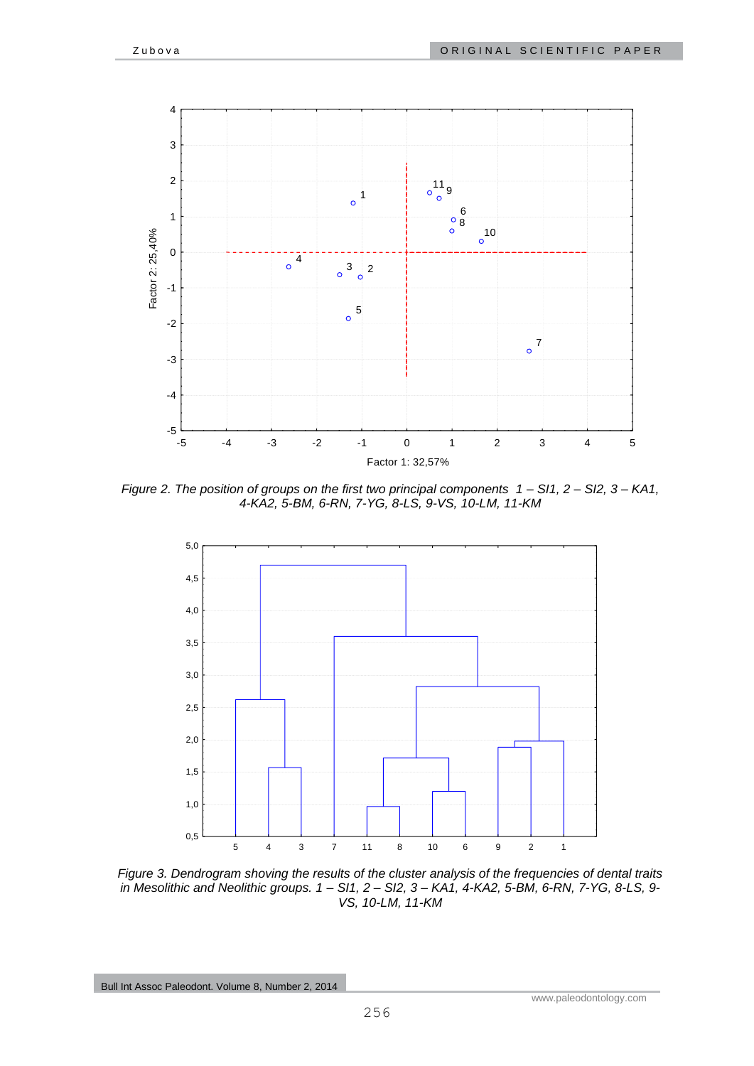

*Figure 2. The position of groups on the first two principal components 1 – SI1, 2 – SI2, 3 – KA1, 4-KA2, 5-BM, 6-RN, 7-YG, 8-LS, 9-VS, 10-LM, 11-KM*



*Figure 3. Dendrogram shoving the results of the cluster analysis of the frequencies of dental traits in Mesolithic and Neolithic groups. 1 – SI1, 2 – SI2, 3 – KA1, 4-KA2, 5-BM, 6-RN, 7-YG, 8-LS, 9- VS, 10-LM, 11-KM*